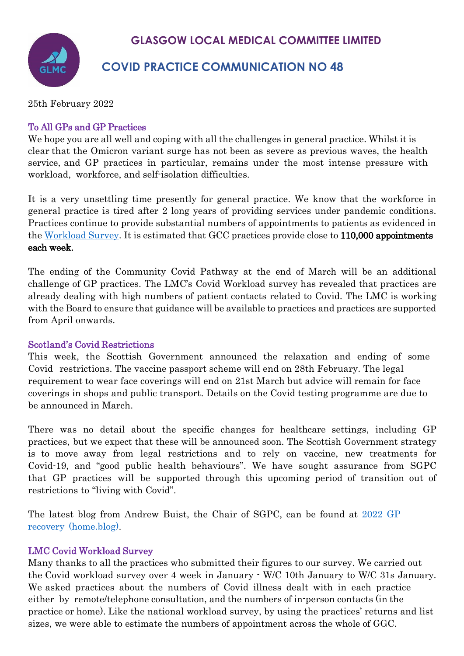

# **COVID PRACTICE COMMUNICATION NO 48**

25th February 2022

## To All GPs and GP Practices

We hope you are all well and coping with all the challenges in general practice. Whilst it is clear that the Omicron variant surge has not been as severe as previous waves, the health service, and GP practices in particular, remains under the most intense pressure with workload, workforce, and self-isolation difficulties.

It is a very unsettling time presently for general practice. We know that the workforce in general practice is tired after 2 long years of providing services under pandemic conditions. Practices continue to provide substantial numbers of appointments to patients as evidenced in the [Workload Survey.](https://www.glasgowlmc.co.uk/download/Links/test/2022/25_feb/GP-Survey-GGC-2022-02-07.docx) It is estimated that GCC practices provide close to 110,000 appointments each week.

The ending of the Community Covid Pathway at the end of March will be an additional challenge of GP practices. The LMC's Covid Workload survey has revealed that practices are already dealing with high numbers of patient contacts related to Covid. The LMC is working with the Board to ensure that guidance will be available to practices and practices are supported from April onwards.

### Scotland's Covid Restrictions

This week, the Scottish Government announced the relaxation and ending of some Covid restrictions. The vaccine passport scheme will end on 28th February. The legal requirement to wear face coverings will end on 21st March but advice will remain for face coverings in shops and public transport. Details on the Covid testing programme are due to be announced in March.

There was no detail about the specific changes for healthcare settings, including GP practices, but we expect that these will be announced soon. The Scottish Government strategy is to move away from legal restrictions and to rely on vaccine, new treatments for Covid-19, and "good public health behaviours". We have sought assurance from SGPC that GP practices will be supported through this upcoming period of transition out of restrictions to "living with Covid".

The latest blog from Andrew Buist, the Chair of SGPC, can be found at 2022 GP recovery (home.blog).

## LMC Covid Workload Survey

Many thanks to all the practices who submitted their figures to our survey. We carried out the Covid workload survey over 4 week in January - W/C 10th January to W/C 31s January. We asked practices about the numbers of Covid illness dealt with in each practice either by remote/telephone consultation, and the numbers of in-person contacts (in the practice or home). Like the national workload survey, by using the practices' returns and list sizes, we were able to estimate the numbers of appointment across the whole of GGC.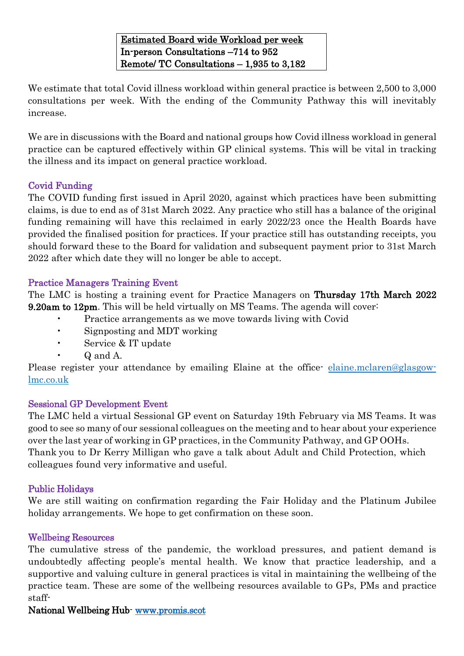Estimated Board wide Workload per week In-person Consultations –714 to 952 Remote/ TC Consultations – 1,935 to 3,182

We estimate that total Covid illness workload within general practice is between 2,500 to 3,000 consultations per week. With the ending of the Community Pathway this will inevitably increase.

We are in discussions with the Board and national groups how Covid illness workload in general practice can be captured effectively within GP clinical systems. This will be vital in tracking the illness and its impact on general practice workload.

## Covid Funding

The COVID funding first issued in April 2020, against which practices have been submitting claims, is due to end as of 31st March 2022. Any practice who still has a balance of the original funding remaining will have this reclaimed in early 2022/23 once the Health Boards have provided the finalised position for practices. If your practice still has outstanding receipts, you should forward these to the Board for validation and subsequent payment prior to 31st March 2022 after which date they will no longer be able to accept.

### Practice Managers Training Event

The LMC is hosting a training event for Practice Managers on Thursday 17th March 2022 9.20am to 12pm. This will be held virtually on MS Teams. The agenda will cover:

- Practice arrangements as we move towards living with Covid
- Signposting and MDT working
- Service & IT update
- Q and A.

Please register your attendance by emailing Elaine at the office [elaine.mclaren@glasgow](mailto:elaine.mclaren@glasgow-lmc.co.uk)[lmc.co.uk](mailto:elaine.mclaren@glasgow-lmc.co.uk)

### Sessional GP Development Event

The LMC held a virtual Sessional GP event on Saturday 19th February via MS Teams. It was good to see so many of our sessional colleagues on the meeting and to hear about your experience over the last year of working in GP practices, in the Community Pathway, and GP OOHs. Thank you to Dr Kerry Milligan who gave a talk about Adult and Child Protection, which colleagues found very informative and useful.

### Public Holidays

We are still waiting on confirmation regarding the Fair Holiday and the Platinum Jubilee holiday arrangements. We hope to get confirmation on these soon.

### Wellbeing Resources

The cumulative stress of the pandemic, the workload pressures, and patient demand is undoubtedly affecting people's mental health. We know that practice leadership, and a supportive and valuing culture in general practices is vital in maintaining the wellbeing of the practice team. These are some of the wellbeing resources available to GPs, PMs and practice staff-

## National Wellbeing Hub- [www.promis.scot](http://www.promis.scot/)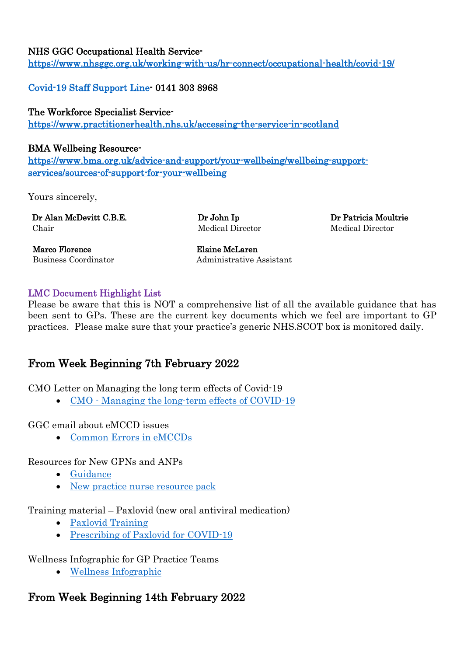## NHS GGC Occupational Health Service-

<https://www.nhsggc.org.uk/working-with-us/hr-connect/occupational-health/covid-19/>

[Covid-19 Staff Support Line-](https://www.nhsggc.org.uk/media/259589/covid-staff-support-line-poster.pdf) 0141 303 8968

## The Workforce Specialist Service-

<https://www.practitionerhealth.nhs.uk/accessing-the-service-in-scotland>

### BMA Wellbeing Resource-

[https://www.bma.org.uk/advice-and-support/your-wellbeing/wellbeing-support](https://www.bma.org.uk/advice-and-support/your-wellbeing/wellbeing-support-services/sources-of-support-for-your-wellbeing)[services/sources-of-support-for-your-wellbeing](https://www.bma.org.uk/advice-and-support/your-wellbeing/wellbeing-support-services/sources-of-support-for-your-wellbeing) 

Yours sincerely,

Dr Alan McDevitt C.B.E. Chair

Dr John Ip Medical Director Dr Patricia Moultrie Medical Director

Marco Florence Elaine McLaren

Business Coordinator **Administrative Assistant** 

## LMC Document Highlight List

Please be aware that this is NOT a comprehensive list of all the available guidance that has been sent to GPs. These are the current key documents which we feel are important to GP practices. Please make sure that your practice's generic NHS.SCOT box is monitored daily.

## From Week Beginning 7th February 2022

CMO Letter on Managing the long term effects of Covid-19

• CMO · Managing the long-term effects of COVID-19

GGC email about eMCCD issues

• [Common Errors in eMCCDs](https://www.glasgowlmc.co.uk/download/Links/test/2022/25_feb/Common-Errors-in-eMCCDs.docx)

Resources for New GPNs and ANPs

- [Guidance](https://www.glasgowlmc.co.uk/download/Links/test/2022/25_feb/Guidance.docx)
- [New practice nurse resource pack](https://www.glasgowlmc.co.uk/download/Links/test/2022/25_feb/New-practice-nurse-resource-pack.pdf)

Training material – Paxlovid (new oral antiviral medication)

- [Paxlovid Training](https://www.glasgowlmc.co.uk/download/Links/test/2022/25_feb/Paxlovid-Training.docx)
- [Prescribing of Paxlovid for COVID-19](https://www.glasgowlmc.co.uk/download/Links/test/2022/25_feb/Prescribing-of-Paxlovid-for-COVID-19.pdf)

Wellness Infographic for GP Practice Teams

• [Wellness Infographic](https://www.glasgowlmc.co.uk/download/Links/test/2022/25_feb/Wellness-Infographic.pdf)

## From Week Beginning 14th February 2022